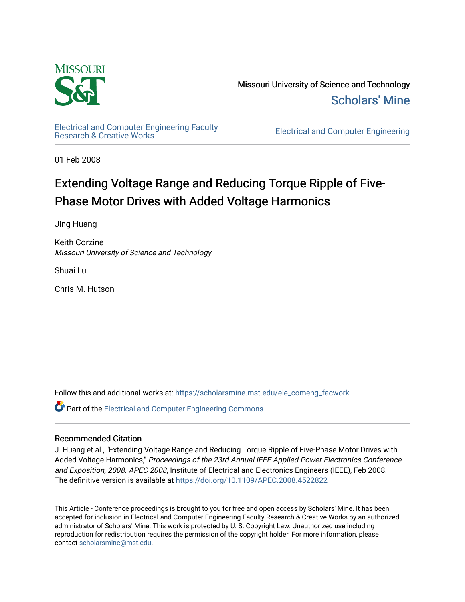

Missouri University of Science and Technology [Scholars' Mine](https://scholarsmine.mst.edu/) 

[Electrical and Computer Engineering Faculty](https://scholarsmine.mst.edu/ele_comeng_facwork)

**Electrical and Computer Engineering** 

01 Feb 2008

## Extending Voltage Range and Reducing Torque Ripple of Five-Phase Motor Drives with Added Voltage Harmonics

Jing Huang

Keith Corzine Missouri University of Science and Technology

Shuai Lu

Chris M. Hutson

Follow this and additional works at: [https://scholarsmine.mst.edu/ele\\_comeng\\_facwork](https://scholarsmine.mst.edu/ele_comeng_facwork?utm_source=scholarsmine.mst.edu%2Fele_comeng_facwork%2F1616&utm_medium=PDF&utm_campaign=PDFCoverPages)

**C** Part of the Electrical and Computer Engineering Commons

### Recommended Citation

J. Huang et al., "Extending Voltage Range and Reducing Torque Ripple of Five-Phase Motor Drives with Added Voltage Harmonics," Proceedings of the 23rd Annual IEEE Applied Power Electronics Conference and Exposition, 2008. APEC 2008, Institute of Electrical and Electronics Engineers (IEEE), Feb 2008. The definitive version is available at <https://doi.org/10.1109/APEC.2008.4522822>

This Article - Conference proceedings is brought to you for free and open access by Scholars' Mine. It has been accepted for inclusion in Electrical and Computer Engineering Faculty Research & Creative Works by an authorized administrator of Scholars' Mine. This work is protected by U. S. Copyright Law. Unauthorized use including reproduction for redistribution requires the permission of the copyright holder. For more information, please contact [scholarsmine@mst.edu](mailto:scholarsmine@mst.edu).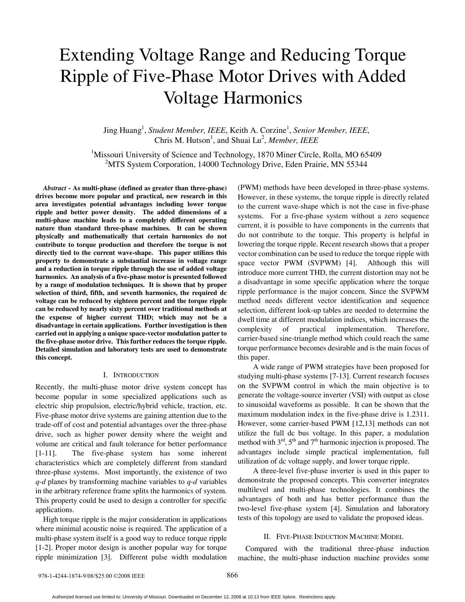# Extending Voltage Range and Reducing Torque Ripple of Five-Phase Motor Drives with Added Voltage Harmonics

Jing Huang<sup>1</sup>, *Student Member, IEEE*, Keith A. Corzine<sup>1</sup>, *Senior Member, IEEE*, Chris M. Hutson<sup>1</sup>, and Shuai Lu<sup>2</sup>, Member, IEEE

<sup>1</sup>Missouri University of Science and Technology, 1870 Miner Circle, Rolla, MO 65409 <sup>2</sup>MTS System Corporation, 14000 Technology Drive, Eden Prairie, MN 55344

*Abstract* **- As multi-phase (defined as greater than three-phase) drives become more popular and practical, new research in this area investigates potential advantages including lower torque ripple and better power density. The added dimensions of a multi-phase machine leads to a completely different operating nature than standard three-phase machines. It can be shown physically and mathematically that certain harmonics do not contribute to torque production and therefore the torque is not directly tied to the current wave-shape. This paper utilizes this property to demonstrate a substantial increase in voltage range and a reduction in torque ripple through the use of added voltage harmonics. An analysis of a five-phase motor is presented followed by a range of modulation techniques. It is shown that by proper selection of third, fifth, and seventh harmonics, the required dc voltage can be reduced by eighteen percent and the torque ripple can be reduced by nearly sixty percent over traditional methods at the expense of higher current THD; which may not be a disadvantage in certain applications. Further investigation is then carried out in applying a unique space-vector modulation patter to the five-phase motor drive. This further reduces the torque ripple. Detailed simulation and laboratory tests are used to demonstrate this concept.** 

#### I. INTRODUCTION

Recently, the multi-phase motor drive system concept has become popular in some specialized applications such as electric ship propulsion, electric/hybrid vehicle, traction, etc. Five-phase motor drive systems are gaining attention due to the trade-off of cost and potential advantages over the three-phase drive, such as higher power density where the weight and volume are critical and fault tolerance for better performance [1-11]. The five-phase system has some inherent characteristics which are completely different from standard three-phase systems. Most importantly, the existence of two *q*-*d* planes by transforming machine variables to *q*-*d* variables in the arbitrary reference frame splits the harmonics of system. This property could be used to design a controller for specific applications.

High torque ripple is the major consideration in applications where minimal acoustic noise is required. The application of a multi-phase system itself is a good way to reduce torque ripple [1-2]. Proper motor design is another popular way for torque ripple minimization [3]. Different pulse width modulation (PWM) methods have been developed in three-phase systems. However, in these systems, the torque ripple is directly related to the current wave-shape which is not the case in five-phase systems. For a five-phase system without a zero sequence current, it is possible to have components in the currents that do not contribute to the torque. This property is helpful in lowering the torque ripple. Recent research shows that a proper vector combination can be used to reduce the torque ripple with space vector PWM (SVPWM) [4]. Although this will introduce more current THD, the current distortion may not be a disadvantage in some specific application where the torque ripple performance is the major concern. Since the SVPWM method needs different vector identification and sequence selection, different look-up tables are needed to determine the dwell time at different modulation indices, which increases the complexity of practical implementation. Therefore, carrier-based sine-triangle method which could reach the same torque performance becomes desirable and is the main focus of this paper.

 A wide range of PWM strategies have been proposed for studying multi-phase systems [7-13]. Current research focuses on the SVPWM control in which the main objective is to generate the voltage-source inverter (VSI) with output as close to sinusoidal waveforms as possible. It can be shown that the maximum modulation index in the five-phase drive is 1.2311. However, some carrier-based PWM [12,13] methods can not utilize the full dc bus voltage. In this paper, a modulation method with  $3<sup>rd</sup>$ ,  $5<sup>th</sup>$  and  $7<sup>th</sup>$  harmonic injection is proposed. The advantages include simple practical implementation, full utilization of dc voltage supply, and lower torque ripple.

 A three-level five-phase inverter is used in this paper to demonstrate the proposed concepts. This converter integrates multilevel and multi-phase technologies. It combines the advantages of both and has better performance than the two-level five-phase system [4]. Simulation and laboratory tests of this topology are used to validate the proposed ideas.

#### II. FIVE-PHASE INDUCTION MACHINE MODEL

Compared with the traditional three-phase induction machine, the multi-phase induction machine provides some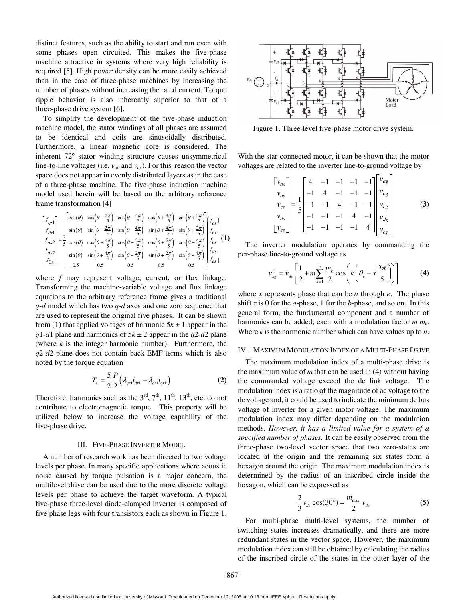distinct features, such as the ability to start and run even with some phases open circuited. This makes the five-phase machine attractive in systems where very high reliability is required [5]. High power density can be more easily achieved than in the case of three-phase machines by increasing the number of phases without increasing the rated current. Torque ripple behavior is also inherently superior to that of a three-phase drive system [6].

To simplify the development of the five-phase induction machine model, the stator windings of all phases are assumed to be identical and coils are sinusoidally distributed. Furthermore, a linear magnetic core is considered. The inherent 72º stator winding structure causes unsymmetrical line-to-line voltages (i.e.  $v_{ab}$  and  $v_{ac}$ ). For this reason the vector space does not appear in evenly distributed layers as in the case of a three-phase machine. The five-phase induction machine model used herein will be based on the arbitrary reference frame transformation [4]

$$
\begin{bmatrix} f_{q31} \\ f_{d51} \\ f_{q52} \\ f_{q52} \\ f_{0s} \end{bmatrix} = \frac{2}{5} \begin{bmatrix} \cos(\theta) & \cos(\theta - \frac{2\pi}{5}) & \cos(\theta - \frac{4\pi}{5}) & \cos(\theta + \frac{4\pi}{5}) & \cos(\theta + \frac{2\pi}{5}) \\ \sin(\theta) & \sin(\theta - \frac{2\pi}{5}) & \sin(\theta - \frac{4\pi}{5}) & \sin(\theta + \frac{4\pi}{5}) & \sin(\theta + \frac{2\pi}{5}) \\ \cos(\theta) & \cos(\theta + \frac{4\pi}{5}) & \cos(\theta - \frac{2\pi}{5}) & \cos(\theta + \frac{2\pi}{5}) & \cos(\theta - \frac{4\pi}{5}) \\ \sin(\theta) & \sin(\theta + \frac{4\pi}{5}) & \sin(\theta - \frac{2\pi}{5}) & \sin(\theta + \frac{2\pi}{5}) & \sin(\theta - \frac{4\pi}{5}) \\ 0.5 & 0.5 & 0.5 & 0.5 & 0.5 \end{bmatrix} \begin{bmatrix} f_{ds} \\ f_{ds} \\ f_{ds} \\ f_{ds} \end{bmatrix} (1)
$$

where *f* may represent voltage, current, or flux linkage. Transforming the machine-variable voltage and flux linkage equations to the arbitrary reference frame gives a traditional *q*-*d* model which has two *q*-*d* axes and one zero sequence that are used to represent the original five phases. It can be shown from (1) that applied voltages of harmonic  $5k \pm 1$  appear in the *q*1-*d*1 plane and harmonics of  $5k \pm 2$  appear in the *q*2-*d*2 plane (where *k* is the integer harmonic number). Furthermore, the *q*2-*d*2 plane does not contain back-EMF terms which is also noted by the torque equation

$$
T_e = \frac{5}{2} \frac{P}{2} \left( \lambda_{q_{r1}} i_{dr1} - \lambda_{dr1} i_{qr1} \right)
$$
 (2)

Therefore, harmonics such as the  $3<sup>rd</sup>$ ,  $7<sup>th</sup>$ ,  $11<sup>th</sup>$ ,  $13<sup>th</sup>$ , etc. do not contribute to electromagnetic torque. This property will be utilized below to increase the voltage capability of the five-phase drive.

#### III. FIVE-PHASE INVERTER MODEL

A number of research work has been directed to two voltage levels per phase. In many specific applications where acoustic noise caused by torque pulsation is a major concern, the multilevel drive can be used due to the more discrete voltage levels per phase to achieve the target waveform. A typical five-phase three-level diode-clamped inverter is composed of five phase legs with four transistors each as shown in Figure 1.



Figure 1. Three-level five-phase motor drive system.

With the star-connected motor, it can be shown that the motor voltages are related to the inverter line-to-ground voltage by

$$
\begin{bmatrix}\nv_{as} \\
v_{bs} \\
v_{cs} \\
v_{ds} \\
v_{es}\n\end{bmatrix} = \frac{1}{5} \begin{bmatrix}\n4 & -1 & -1 & -1 & -1 \\
-1 & 4 & -1 & -1 & -1 \\
-1 & -1 & 4 & -1 & -1 \\
-1 & -1 & -1 & 4 & -1 \\
-1 & -1 & -1 & -1 & 4\n\end{bmatrix} \begin{bmatrix}\nv_{ag} \\
v_{bg} \\
v_{cg} \\
v_{dg} \\
v_{eg}\n\end{bmatrix}
$$
\n(3)

The inverter modulation operates by commanding the per-phase line-to-ground voltage as

$$
v_{xg}^* = v_{dc} \left[ \frac{1}{2} + m \sum_{k=1}^n \frac{m_k}{2} \cos \left( k \left( \theta_e - x \frac{2\pi}{5} \right) \right) \right]
$$
 (4)

where *x* represents phase that can be *a* through *e*. The phase shift *x* is 0 for the *a*-phase, 1 for the *b*-phase, and so on. In this general form, the fundamental component and a number of harmonics can be added; each with a modulation factor  $m m_k$ . *m<sub>k</sub>*.<br> **0** *n*.<br>
<sup>2</sup><br>
<sup>2</sup><br>
<sup>2</sup><br>
<sup>2</sup><br>
<sup>2</sup><br>
<sup>2</sup> Where *k* is the harmonic number which can have values up to *n*.

#### IV. MAXIMUM MODULATION INDEX OF A MULTI-PHASE DRIVE

The maximum modulation index of a multi-phase drive is the maximum value of *m* that can be used in (4) without having the commanded voltage exceed the dc link voltage. The modulation index is a ratio of the magnitude of ac voltage to the dc voltage and, it could be used to indicate the minimum dc bus voltage of inverter for a given motor voltage. The maximum modulation index may differ depending on the modulation methods. *However, it has a limited value for a system of a specified number of phases.* It can be easily observed from the three-phase two-level vector space that two zero-states are located at the origin and the remaining six states form a hexagon around the origin. The maximum modulation index is determined by the radius of an inscribed circle inside the hexagon, which can be expressed as

$$
\frac{2}{3}v_{dc}\cos(30^{\circ}) = \frac{m_{\text{max}}}{2}v_{dc}
$$
 (5)

For multi-phase multi-level systems, the number of switching states increases dramatically, and there are more redundant states in the vector space. However, the maximum modulation index can still be obtained by calculating the radius of the inscribed circle of the states in the outer layer of the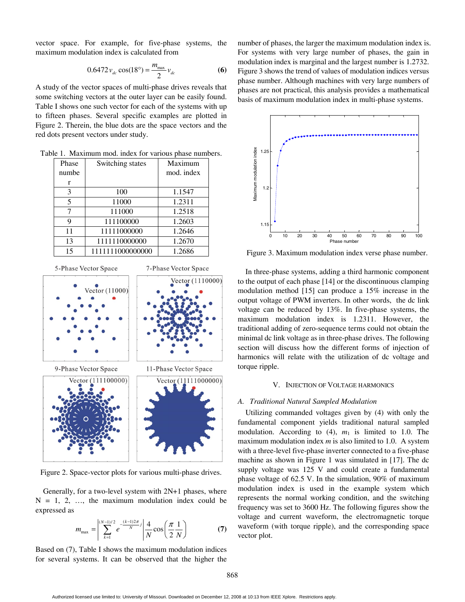vector space. For example, for five-phase systems, the maximum modulation index is calculated from

$$
0.6472 \, v_{dc} \cos(18^\circ) = \frac{m_{\text{max}}}{2} \, v_{dc} \tag{6}
$$

A study of the vector spaces of multi-phase drives reveals that some switching vectors at the outer layer can be easily found. Table I shows one such vector for each of the systems with up to fifteen phases. Several specific examples are plotted in Figure 2. Therein, the blue dots are the space vectors and the red dots present vectors under study.

Table 1. Maximum mod. index for various phase numbers.

| Phase | Switching states | Maximum    |
|-------|------------------|------------|
| numbe |                  | mod. index |
| r     |                  |            |
| 3     | 100              | 1.1547     |
| 5     | 11000            | 1.2311     |
|       | 111000           | 1.2518     |
| 9     | 111100000        | 1.2603     |
| 11    | 11111000000      | 1.2646     |
| 13    | 1111110000000    | 1.2670     |
| 15    | 1111111000000000 | 1.2686     |



Figure 2. Space-vector plots for various multi-phase drives.

Generally, for a two-level system with 2N+1 phases, where  $N = 1, 2, \ldots$ , the maximum modulation index could be expressed as

$$
m_{\max} = \left| \sum_{k=1}^{(N-1)/2} e^{-\frac{(k-1)2\pi}{N}j} \right| \frac{4}{N} \cos\left(\frac{\pi}{2} \frac{1}{N}\right) \tag{7}
$$

Based on (7), Table I shows the maximum modulation indices for several systems. It can be observed that the higher the number of phases, the larger the maximum modulation index is. For systems with very large number of phases, the gain in modulation index is marginal and the largest number is 1.2732. Figure 3 shows the trend of values of modulation indices versus phase number. Although machines with very large numbers of phases are not practical, this analysis provides a mathematical basis of maximum modulation index in multi-phase systems.



Figure 3. Maximum modulation index verse phase number.

In three-phase systems, adding a third harmonic component to the output of each phase [14] or the discontinuous clamping modulation method [15] can produce a 15% increase in the output voltage of PWM inverters. In other words, the dc link voltage can be reduced by 13%. In five-phase systems, the maximum modulation index is 1.2311. However, the traditional adding of zero-sequence terms could not obtain the minimal dc link voltage as in three-phase drives. The following section will discuss how the different forms of injection of harmonics will relate with the utilization of dc voltage and torque ripple.

#### V. INJECTION OF VOLTAGE HARMONICS

#### *A. Traditional Natural Sampled Modulation*

Utilizing commanded voltages given by (4) with only the fundamental component yields traditional natural sampled modulation. According to  $(4)$ ,  $m<sub>1</sub>$  is limited to 1.0. The maximum modulation index *m* is also limited to 1.0. A system with a three-level five-phase inverter connected to a five-phase machine as shown in Figure 1 was simulated in [17]. The dc supply voltage was 125 V and could create a fundamental phase voltage of 62.5 V. In the simulation, 90% of maximum modulation index is used in the example system which represents the normal working condition, and the switching frequency was set to 3600 Hz. The following figures show the voltage and current waveform, the electromagnetic torque waveform (with torque ripple), and the corresponding space vector plot.

Authorized licensed use limited to: University of Missouri. Downloaded on December 12, 2008 at 10:13 from IEEE Xplore. Restrictions apply.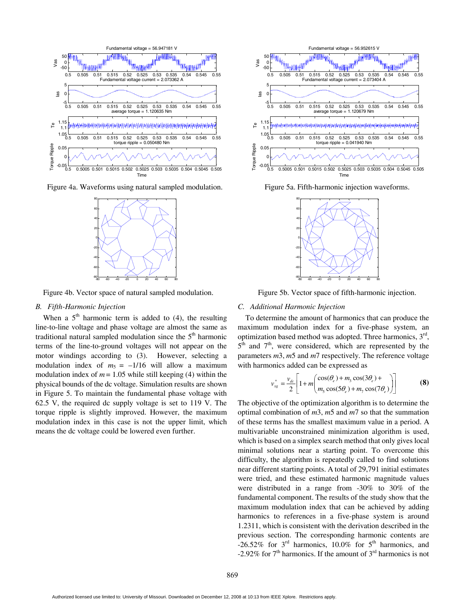

Figure 4a. Waveforms using natural sampled modulation.



Figure 4b. Vector space of natural sampled modulation.

#### *B. Fifth-Harmonic Injection*

When a  $5<sup>th</sup>$  harmonic term is added to (4), the resulting line-to-line voltage and phase voltage are almost the same as traditional natural sampled modulation since the  $5<sup>th</sup>$  harmonic terms of the line-to-ground voltages will not appear on the motor windings according to (3). However, selecting a modulation index of  $m_5 = -1/16$  will allow a maximum modulation index of  $m = 1.05$  while still keeping (4) within the physical bounds of the dc voltage. Simulation results are shown in Figure 5. To maintain the fundamental phase voltage with 62.5 V, the required dc supply voltage is set to 119 V. The torque ripple is slightly improved. However, the maximum modulation index in this case is not the upper limit, which means the dc voltage could be lowered even further.



Figure 5a. Fifth-harmonic injection waveforms.



Figure 5b. Vector space of fifth-harmonic injection.

#### *C. Additional Harmonic Injection*

To determine the amount of harmonics that can produce the maximum modulation index for a five-phase system, an optimization based method was adopted. Three harmonics,  $3<sup>rd</sup>$ ,  $5<sup>th</sup>$  and  $7<sup>th</sup>$ , were considered, which are represented by the parameters *m*3, *m*5 and *m*7 respectively. The reference voltage with harmonics added can be expressed as

$$
v_{xg}^{*} = \frac{v_{dc}}{2} \left[ 1 + m \left( \frac{\cos(\theta_e) + m_3 \cos(3\theta_e) + m_4 \cos(7\theta_e)}{m_5 \cos(5\theta_e) + m_7 \cos(7\theta_e)} \right) \right]
$$
(8)

The objective of the optimization algorithm is to determine the optimal combination of *m*3, *m*5 and *m*7 so that the summation of these terms has the smallest maximum value in a period. A multivariable unconstrained minimization algorithm is used, which is based on a simplex search method that only gives local minimal solutions near a starting point. To overcome this difficulty, the algorithm is repeatedly called to find solutions near different starting points. A total of 29,791 initial estimates were tried, and these estimated harmonic magnitude values were distributed in a range from -30% to 30% of the fundamental component. The results of the study show that the maximum modulation index that can be achieved by adding harmonics to references in a five-phase system is around 1.2311, which is consistent with the derivation described in the previous section. The corresponding harmonic contents are -26.52% for  $3<sup>rd</sup>$  harmonics, 10.0% for  $5<sup>th</sup>$  harmonics, and -2.92% for  $7<sup>th</sup>$  harmonics. If the amount of  $3<sup>rd</sup>$  harmonics is not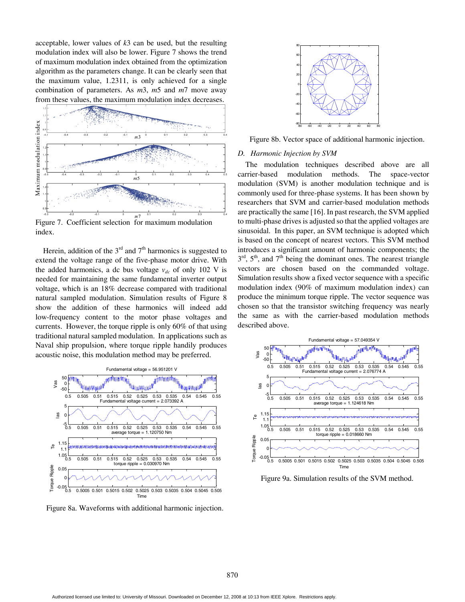acceptable, lower values of *k*3 can be used, but the resulting modulation index will also be lower. Figure 7 shows the trend of maximum modulation index obtained from the optimization algorithm as the parameters change. It can be clearly seen that the maximum value, 1.2311, is only achieved for a single combination of parameters. As *m*3, *m*5 and *m*7 move away from these values, the maximum modulation index decreases.



Figure 7. Coefficient selection for maximum modulation index.

Herein, addition of the  $3<sup>rd</sup>$  and  $7<sup>th</sup>$  harmonics is suggested to extend the voltage range of the five-phase motor drive. With the added harmonics, a dc bus voltage  $v_{dc}$  of only 102 V is needed for maintaining the same fundamental inverter output voltage, which is an 18% decrease compared with traditional natural sampled modulation. Simulation results of Figure 8 show the addition of these harmonics will indeed add low-frequency content to the motor phase voltages and currents. However, the torque ripple is only 60% of that using traditional natural sampled modulation. In applications such as Naval ship propulsion, where torque ripple handily produces acoustic noise, this modulation method may be preferred.



Figure 8a. Waveforms with additional harmonic injection.



Figure 8b. Vector space of additional harmonic injection.

#### *D. Harmonic Injection by SVM*

The modulation techniques described above are all carrier-based modulation methods. The space-vector modulation (SVM) is another modulation technique and is commonly used for three-phase systems. It has been shown by researchers that SVM and carrier-based modulation methods are practically the same [16]. In past research, the SVM applied to multi-phase drives is adjusted so that the applied voltages are sinusoidal. In this paper, an SVM technique is adopted which is based on the concept of nearest vectors. This SVM method introduces a significant amount of harmonic components; the  $3<sup>rd</sup>$ ,  $5<sup>th</sup>$ , and  $7<sup>th</sup>$  being the dominant ones. The nearest triangle vectors are chosen based on the commanded voltage. Simulation results show a fixed vector sequence with a specific modulation index (90% of maximum modulation index) can produce the minimum torque ripple. The vector sequence was chosen so that the transistor switching frequency was nearly the same as with the carrier-based modulation methods described above.



Figure 9a. Simulation results of the SVM method.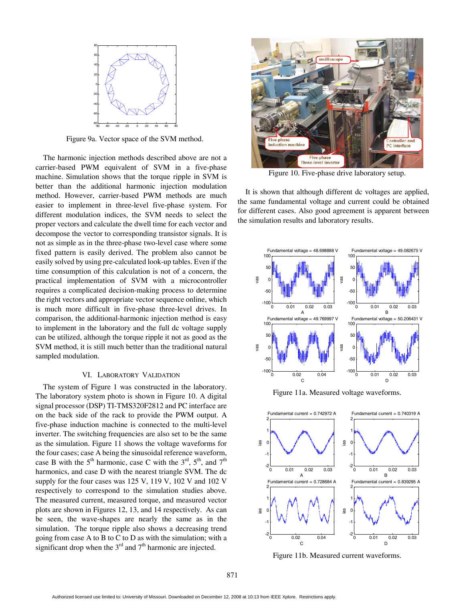

Figure 9a. Vector space of the SVM method.

The harmonic injection methods described above are not a carrier-based PWM equivalent of SVM in a five-phase machine. Simulation shows that the torque ripple in SVM is better than the additional harmonic injection modulation method. However, carrier-based PWM methods are much easier to implement in three-level five-phase system. For different modulation indices, the SVM needs to select the proper vectors and calculate the dwell time for each vector and decompose the vector to corresponding transistor signals. It is not as simple as in the three-phase two-level case where some fixed pattern is easily derived. The problem also cannot be easily solved by using pre-calculated look-up tables. Even if the time consumption of this calculation is not of a concern, the practical implementation of SVM with a microcontroller requires a complicated decision-making process to determine the right vectors and appropriate vector sequence online, which is much more difficult in five-phase three-level drives. In comparison, the additional-harmonic injection method is easy to implement in the laboratory and the full dc voltage supply can be utilized, although the torque ripple it not as good as the SVM method, it is still much better than the traditional natural sampled modulation.

#### VI. LABORATORY VALIDATION

The system of Figure 1 was constructed in the laboratory. The laboratory system photo is shown in Figure 10. A digital signal processor (DSP) TI-TMS320F2812 and PC interface are on the back side of the rack to provide the PWM output. A five-phase induction machine is connected to the multi-level inverter. The switching frequencies are also set to be the same as the simulation. Figure 11 shows the voltage waveforms for the four cases; case A being the sinusoidal reference waveform, case B with the  $5<sup>th</sup>$  harmonic, case C with the  $3<sup>rd</sup>$ ,  $5<sup>th</sup>$ , and  $7<sup>th</sup>$ harmonics, and case D with the nearest triangle SVM. The dc supply for the four cases was 125 V, 119 V, 102 V and 102 V respectively to correspond to the simulation studies above. The measured current, measured torque, and measured vector plots are shown in Figures 12, 13, and 14 respectively. As can be seen, the wave-shapes are nearly the same as in the simulation. The torque ripple also shows a decreasing trend going from case A to B to C to D as with the simulation; with a significant drop when the  $3<sup>rd</sup>$  and  $7<sup>th</sup>$  harmonic are injected.



Figure 10. Five-phase drive laboratory setup.

It is shown that although different dc voltages are applied, the same fundamental voltage and current could be obtained for different cases. Also good agreement is apparent between the simulation results and laboratory results.



Figure 11a. Measured voltage waveforms.



Figure 11b. Measured current waveforms.